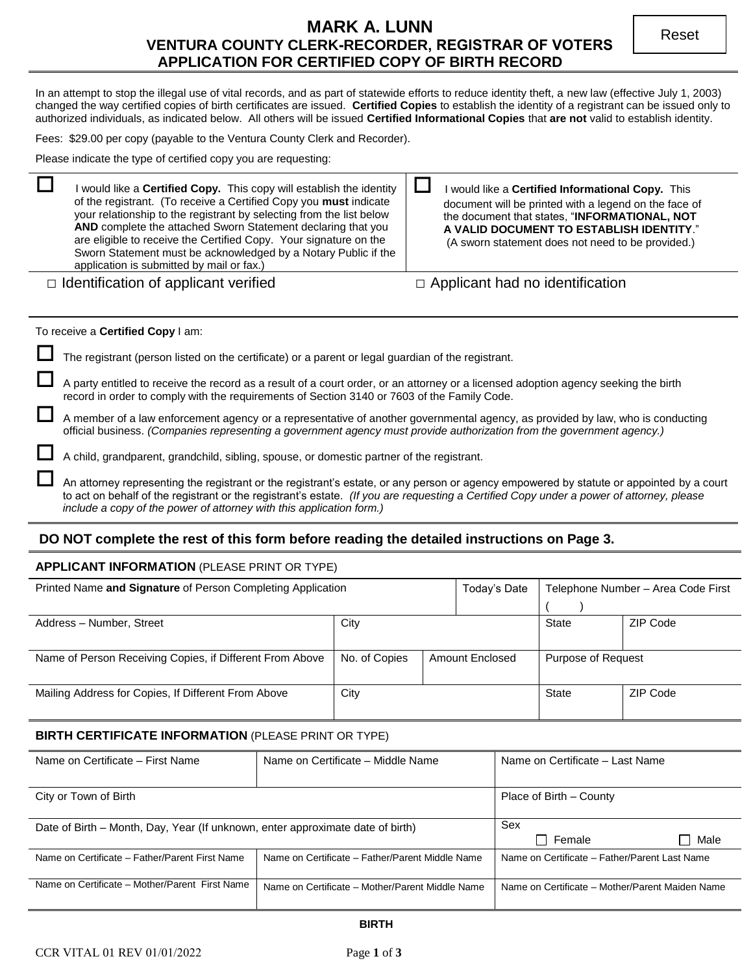# **MARK A. LUNN VENTURA COUNTY CLERK-RECORDER, REGISTRAR OF VOTERS APPLICATION FOR CERTIFIED COPY OF BIRTH RECORD**

In an attempt to stop the illegal use of vital records, and as part of statewide efforts to reduce identity theft, a new law (effective July 1, 2003) changed the way certified copies of birth certificates are issued. **Certified Copies** to establish the identity of a registrant can be issued only to authorized individuals, as indicated below. All others will be issued **Certified Informational Copies** that **are not** valid to establish identity.

Fees: \$29.00 per copy (payable to the Ventura County Clerk and Recorder).

Please indicate the type of certified copy you are requesting:

| I would like a Certified Copy. This copy will establish the identity<br>of the registrant. (To receive a Certified Copy you must indicate<br>your relationship to the registrant by selecting from the list below<br>AND complete the attached Sworn Statement declaring that you<br>are eligible to receive the Certified Copy. Your signature on the<br>Sworn Statement must be acknowledged by a Notary Public if the<br>application is submitted by mail or fax.) | I would like a Certified Informational Copy. This<br>document will be printed with a legend on the face of<br>the document that states, "INFORMATIONAL, NOT<br>A VALID DOCUMENT TO ESTABLISH IDENTITY."<br>(A sworn statement does not need to be provided.) |
|-----------------------------------------------------------------------------------------------------------------------------------------------------------------------------------------------------------------------------------------------------------------------------------------------------------------------------------------------------------------------------------------------------------------------------------------------------------------------|--------------------------------------------------------------------------------------------------------------------------------------------------------------------------------------------------------------------------------------------------------------|
| $\Box$ Identification of applicant verified                                                                                                                                                                                                                                                                                                                                                                                                                           | $\Box$ Applicant had no identification                                                                                                                                                                                                                       |

#### To receive a **Certified Copy** I am:

| The registrant (person listed on the certificate) or a parent or legal guardian of the registrant.                                                                                                                                                                                                                                                           |
|--------------------------------------------------------------------------------------------------------------------------------------------------------------------------------------------------------------------------------------------------------------------------------------------------------------------------------------------------------------|
| A party entitled to receive the record as a result of a court order, or an attorney or a licensed adoption agency seeking the birth<br>record in order to comply with the requirements of Section 3140 or 7603 of the Family Code.                                                                                                                           |
| A member of a law enforcement agency or a representative of another governmental agency, as provided by law, who is conducting<br>official business. (Companies representing a government agency must provide authorization from the government agency.)                                                                                                     |
| A child, grandparent, grandchild, sibling, spouse, or domestic partner of the registrant.                                                                                                                                                                                                                                                                    |
| An attorney representing the registrant or the registrant's estate, or any person or agency empowered by statute or appointed by a court<br>to act on behalf of the registrant or the registrant's estate. (If you are requesting a Certified Copy under a power of attorney, please<br>include a copy of the power of attorney with this application form.) |

### **DO NOT complete the rest of this form before reading the detailed instructions on Page 3.**

### **APPLICANT INFORMATION** (PLEASE PRINT OR TYPE)

| Printed Name and Signature of Person Completing Application |                                  |  | Today's Date              | Telephone Number - Area Code First |          |
|-------------------------------------------------------------|----------------------------------|--|---------------------------|------------------------------------|----------|
|                                                             |                                  |  |                           |                                    |          |
| Address - Number, Street                                    | City                             |  | <b>State</b>              | ZIP Code                           |          |
|                                                             |                                  |  |                           |                                    |          |
| Name of Person Receiving Copies, if Different From Above    | No. of Copies<br>Amount Enclosed |  | <b>Purpose of Request</b> |                                    |          |
|                                                             |                                  |  |                           |                                    |          |
| Mailing Address for Copies, If Different From Above         | City                             |  |                           | State                              | ZIP Code |
|                                                             |                                  |  |                           |                                    |          |

### **BIRTH CERTIFICATE INFORMATION** (PLEASE PRINT OR TYPE)

| Name on Certificate - First Name                                                                  | Name on Certificate – Middle Name               | Name on Certificate - Last Name                 |  |
|---------------------------------------------------------------------------------------------------|-------------------------------------------------|-------------------------------------------------|--|
|                                                                                                   |                                                 |                                                 |  |
| City or Town of Birth                                                                             | Place of Birth – County                         |                                                 |  |
|                                                                                                   |                                                 |                                                 |  |
| Date of Birth – Month, Day, Year (If unknown, enter approximate date of birth)                    | Sex                                             |                                                 |  |
|                                                                                                   | □ Male<br>$\sqcap$ Female                       |                                                 |  |
| Name on Certificate - Father/Parent First Name<br>Name on Certificate - Father/Parent Middle Name |                                                 | Name on Certificate - Father/Parent Last Name   |  |
|                                                                                                   |                                                 |                                                 |  |
| Name on Certificate – Mother/Parent First Name                                                    | Name on Certificate – Mother/Parent Middle Name | Name on Certificate - Mother/Parent Maiden Name |  |
|                                                                                                   |                                                 |                                                 |  |

#### **BIRTH**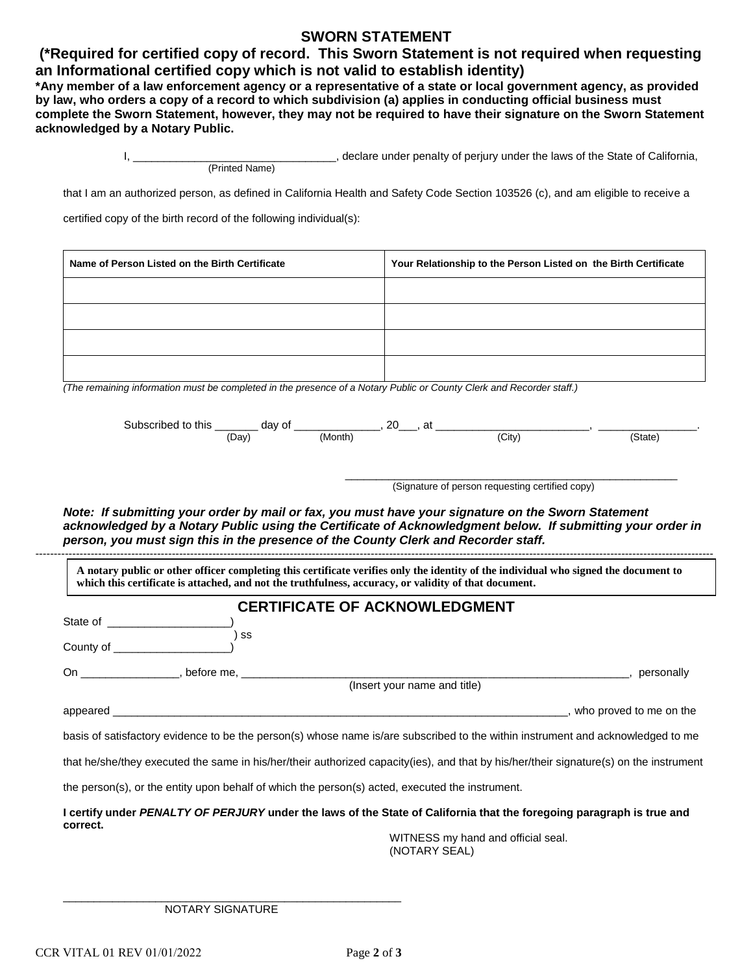## **SWORN STATEMENT**

## **(\*Required for certified copy of record. This Sworn Statement is not required when requesting an Informational certified copy which is not valid to establish identity)**

**\*Any member of a law enforcement agency or a representative of a state or local government agency, as provided by law, who orders a copy of a record to which subdivision (a) applies in conducting official business must complete the Sworn Statement, however, they may not be required to have their signature on the Sworn Statement acknowledged by a Notary Public.**

|                | declare under penalty of perjury under the laws of the State of California, |
|----------------|-----------------------------------------------------------------------------|
| (Printed Name) |                                                                             |

that I am an authorized person, as defined in California Health and Safety Code Section 103526 (c), and am eligible to receive a

certified copy of the birth record of the following individual(s):

| Name of Person Listed on the Birth Certificate | Your Relationship to the Person Listed on the Birth Certificate |
|------------------------------------------------|-----------------------------------------------------------------|
|                                                |                                                                 |
|                                                |                                                                 |
|                                                |                                                                 |
|                                                |                                                                 |

*(The remaining information must be completed in the presence of a Notary Public or County Clerk and Recorder staff.)* 

| Subsc<br>this<br>ascribed.<br>$-$ | O1<br>dav | 20<br>∼ | ~+<br>a |        |                      |
|-----------------------------------|-----------|---------|---------|--------|----------------------|
|                                   | ΈDaγ      | (Month  |         | (City) | state<br>- - - - - - |

\_\_\_\_\_\_\_\_\_\_\_\_\_\_\_\_\_\_\_\_\_\_\_\_\_\_\_\_\_\_\_\_\_\_\_\_\_\_\_\_\_\_\_\_\_\_\_\_\_\_\_\_\_\_ (Signature of person requesting certified copy)

*Note: If submitting your order by mail or fax, you must have your signature on the Sworn Statement acknowledged by a Notary Public using the Certificate of Acknowledgment below. If submitting your order in person, you must sign this in the presence of the County Clerk and Recorder staff.* 

---------------------------------------------------------------------------------------------------------------------------------------------------------------------------------------- **A notary public or other officer completing this certificate verifies only the identity of the individual who signed the document to which this certificate is attached, and not the truthfulness, accuracy, or validity of that document.**

### **CERTIFICATE OF ACKNOWLEDGMENT**

| State of                                                                                                                                                                                                                       |                                                                                                                                        |
|--------------------------------------------------------------------------------------------------------------------------------------------------------------------------------------------------------------------------------|----------------------------------------------------------------------------------------------------------------------------------------|
| SS<br>County of <b>County</b> of                                                                                                                                                                                               |                                                                                                                                        |
| On __________________, before me, __________                                                                                                                                                                                   | personally                                                                                                                             |
|                                                                                                                                                                                                                                | (Insert your name and title)                                                                                                           |
| appeared and the contract of the contract of the contract of the contract of the contract of the contract of the contract of the contract of the contract of the contract of the contract of the contract of the contract of t | who proved to me on the                                                                                                                |
|                                                                                                                                                                                                                                | basis of satisfactory evidence to be the person(s) whose name is/are subscribed to the within instrument and acknowledged to me        |
|                                                                                                                                                                                                                                | that he/she/they executed the same in his/her/their authorized capacity(ies), and that by his/her/their signature(s) on the instrument |
|                                                                                                                                                                                                                                | the person(s), or the entity upon behalf of which the person(s) acted, executed the instrument.                                        |
| correct.                                                                                                                                                                                                                       | I certify under PENALTY OF PERJURY under the laws of the State of California that the foregoing paragraph is true and                  |

WITNESS my hand and official seal. (NOTARY SEAL)

\_\_\_\_\_\_\_\_\_\_\_\_\_\_\_\_\_\_\_\_\_\_\_\_\_\_\_\_\_\_\_\_\_\_\_\_\_\_\_\_\_\_\_\_\_\_\_\_\_\_\_\_\_\_\_ NOTARY SIGNATURE